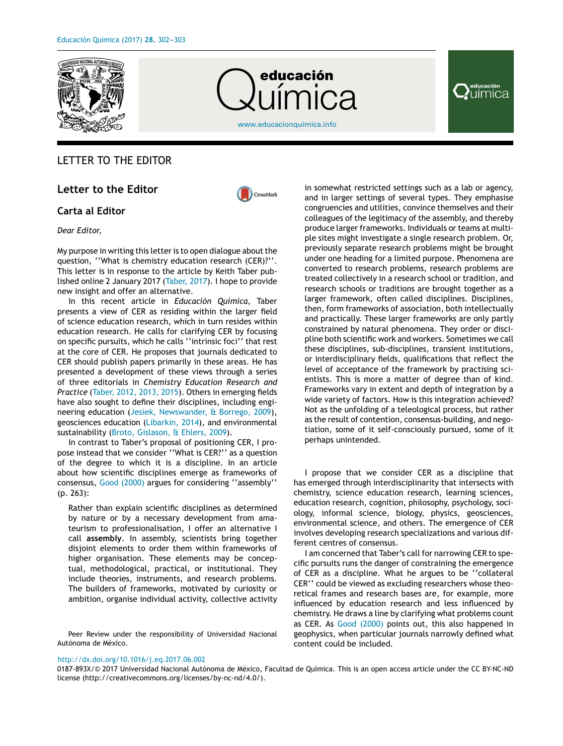

# Química

[www.educacionquimica.info](http://www.educacionquimica.info)

# **∤**uímica

# LETTER TO THE EDITOR

# **Letter to the Editor**



## **Carta al Editor**

### *Dear Editor,*

My purpose in writing this letter is to open dialogue about the question, ''What is chemistry education research (CER)?''. This letter is in response to the article by Keith Taber published online 2 January 2017 ([Taber,](#page-1-0) [2017\).](#page-1-0) I hope to provide new insight and offer an alternative.

In this recent article in *Educación Química*, Taber presents a view of CER as residing within the larger field of science education research, which in turn resides within education research. He calls for clarifying CER by focusing on specific pursuits, which he calls ''intrinsic foci'' that rest at the core of CER. He proposes that journals dedicated to CER should publish papers primarily in these areas. He has presented a development of these views through a series of three editorials in *Chemistry Education Research and Practice* [\(Taber,](#page-1-0) [2012,](#page-1-0) [2013,](#page-1-0) [2015\).](#page-1-0) Others in emerging fields have also sought to define their disciplines, including engineering education [\(Jesiek,](#page-1-0) [Newswander,](#page-1-0) [&](#page-1-0) [Borrego,](#page-1-0) [2009\),](#page-1-0) geosciences education [\(Libarkin,](#page-1-0) [2014\),](#page-1-0) and environmental sustainability [\(Broto,](#page-1-0) [Gislason,](#page-1-0) [&](#page-1-0) [Ehlers,](#page-1-0) [2009\).](#page-1-0)

In contrast to Taber's proposal of positioning CER, I propose instead that we consider ''What is CER?'' as a question of the degree to which it is a discipline. In an article about how scientific disciplines emerge as frameworks of consensus, [Good](#page-1-0) [\(2000\)](#page-1-0) argues for considering ''assembly'' (p. 263):

Rather than explain scientific disciplines as determined by nature or by a necessary development from amateurism to professionalisation, I offer an alternative I call **assembly**. In assembly, scientists bring together disjoint elements to order them within frameworks of higher organisation. These elements may be conceptual, methodological, practical, or institutional. They include theories, instruments, and research problems. The builders of frameworks, motivated by curiosity or ambition, organise individual activity, collective activity

Peer Review under the responsibility of Universidad Nacional Autónoma de México.

in somewhat restricted settings such as a lab or agency, and in larger settings of several types. They emphasise congruencies and utilities, convince themselves and their colleagues of the legitimacy of the assembly, and thereby produce larger frameworks. Individuals or teams at multiple sites might investigate a single research problem. Or, previously separate research problems might be brought under one heading for a limited purpose. Phenomena are converted to research problems, research problems are treated collectively in a research school or tradition, and research schools or traditions are brought together as a larger framework, often called disciplines. Disciplines, then, form frameworks of association, both intellectually and practically. These larger frameworks are only partly constrained by natural phenomena. They order or discipline both scientific work and workers. Sometimes we call these disciplines, sub-disciplines, transient institutions, or interdisciplinary fields, qualifications that reflect the level of acceptance of the framework by practising scientists. This is more a matter of degree than of kind. Frameworks vary in extent and depth of integration by a wide variety of factors. How is this integration achieved? Not as the unfolding of a teleological process, but rather as the result of contention, consensus-building, and negotiation, some of it self-consciously pursued, some of it perhaps unintended.

I propose that we consider CER as a discipline that has emerged through interdisciplinarity that intersects with chemistry, science education research, learning sciences, education research, cognition, philosophy, psychology, sociology, informal science, biology, physics, geosciences, environmental science, and others. The emergence of CER involves developing research specializations and various different centres of consensus.

I am concerned that Taber's call for narrowing CER to specific pursuits runs the danger of constraining the emergence of CER as a discipline. What he argues to be ''collateral CER'' could be viewed as excluding researchers whose theoretical frames and research bases are, for example, more influenced by education research and less influenced by chemistry. He draws a line by clarifying what problems count as CER. As [Good](#page-1-0) [\(2000\)](#page-1-0) points out, this also happened in geophysics, when particular journals narrowly defined what content could be included.

#### [http://dx.doi.org/10.1016/j.eq.2017.06.002](dx.doi.org/10.1016/j.eq.2017.06.002)

0187-893X/© 2017 Universidad Nacional Autónoma de México, Facultad de Química. This is an open access article under the CC BY-NC-ND license (http://creativecommons.org/licenses/by-nc-nd/4.0/).